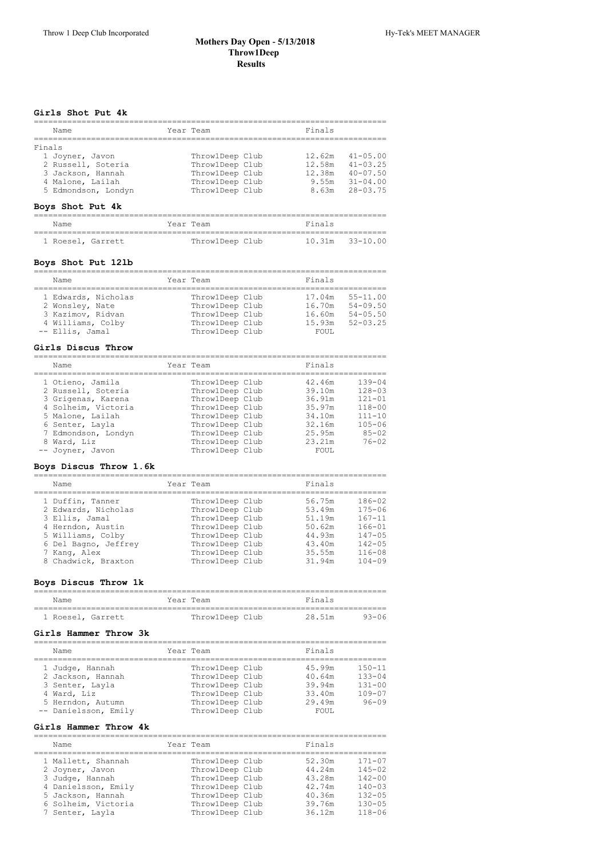### **Mothers Day Open ‑ 5/13/2018 Throw1Deep Results**

#### **Girls Shot Put 4k**

| Name                                                                                                            | Year Team                                                                                   | Finals                                                                                                                       |
|-----------------------------------------------------------------------------------------------------------------|---------------------------------------------------------------------------------------------|------------------------------------------------------------------------------------------------------------------------------|
| Finals<br>1 Joyner, Javon<br>2 Russell, Soteria<br>3 Jackson, Hannah<br>4 Malone, Lailah<br>5 Edmondson, Londyn | ThrowlDeep Club<br>ThrowlDeep Club<br>ThrowlDeep Club<br>ThrowlDeep Club<br>ThrowlDeep Club | $41 - 05.00$<br>12.62m<br>$41 - 03.25$<br>12.58m<br>12.38m<br>$40 - 07.50$<br>$31 - 04.00$<br>9.55m<br>$28 - 03.75$<br>8.63m |

## **Boys Shot Put 4k**

| Name |                   | Year Team       | Finals              |  |
|------|-------------------|-----------------|---------------------|--|
|      |                   |                 |                     |  |
|      | 1 Roesel, Garrett | ThrowlDeep Club | $10.31m$ $33-10.00$ |  |

#### **Boys Shot Put 12lb**

| Name                | Year Team       | Finals |              |
|---------------------|-----------------|--------|--------------|
|                     |                 |        |              |
| 1 Edwards, Nicholas | ThrowlDeep Club | 17.04m | $55 - 11.00$ |
| 2 Wonsley, Nate     | ThrowlDeep Club | 16.70m | $54 - 09.50$ |
| 3 Kazimov, Ridvan   | ThrowlDeep Club | 16.60m | $54 - 05.50$ |
| 4 Williams, Colby   | ThrowlDeep Club | 15.93m | $52 - 03.25$ |
| -- Ellis, Jamal     | ThrowlDeep Club | FOUL.  |              |
|                     |                 |        |              |

#### **Girls Discus Throw**

| Name                                    | Year Team                          | Finals           |                          |
|-----------------------------------------|------------------------------------|------------------|--------------------------|
| 1 Otieno, Jamila<br>2 Russell, Soteria  | ThrowlDeep Club<br>ThrowlDeep Club | 42.46m<br>39.10m | $139 - 04$<br>$128 - 03$ |
| 3 Grigenas, Karena                      | ThrowlDeep Club                    | 36.91m           | $121 - 01$               |
| 4 Solheim, Victoria<br>5 Malone, Lailah | ThrowlDeep Club<br>ThrowlDeep Club | 35.97m<br>34.10m | $118 - 00$<br>$111 - 10$ |
| 6 Senter, Layla                         | ThrowlDeep Club                    | 32.16m           | $105 - 06$               |
| 7 Edmondson, Londyn                     | ThrowlDeep Club                    | 25.95m           | $85 - 02$                |
| 8 Ward, Liz                             | ThrowlDeep Club                    | 23.21m           | $76 - 02$                |
| -- Joyner, Javon                        | ThrowlDeep Club                    | FOUL.            |                          |

## **Boys Discus Throw 1.6k**

========================================================================== Name **The Contract Sear Team Finals** ========================================================================== 1 Duffin, Tanner Throw1Deep Club 56.75m 186-02

| 2 Edwards, Nicholas<br>ThrowlDeep Club<br>53.49m  | $175 - 06$ |
|---------------------------------------------------|------------|
| ThrowlDeep Club<br>51.19m<br>3 Ellis, Jamal       | $167 - 11$ |
| ThrowlDeep Club<br>4 Herndon, Austin<br>50.62m    | $166 - 01$ |
| ThrowlDeep Club<br>5 Williams, Colby<br>44.93m    | $147 - 05$ |
| ThrowlDeep Club<br>6 Del Bagno, Jeffrey<br>43.40m | $142 - 05$ |
| ThrowlDeep Club<br>35.55m<br>7 Kang, Alex         | $116 - 08$ |
| 8 Chadwick, Braxton<br>ThrowlDeep Club<br>31.94m  | $104 - 09$ |

#### **Boys Discus Throw 1k**

| Name              |  | Year Team       | Finals |       |
|-------------------|--|-----------------|--------|-------|
| 1 Roesel, Garrett |  | ThrowlDeep Club | 28.51m | 93-06 |

## **Girls Hammer Throw 3k**

| Name                                                                                                                | Year Team                                                                                                      | Finals                                                  |                                                                   |
|---------------------------------------------------------------------------------------------------------------------|----------------------------------------------------------------------------------------------------------------|---------------------------------------------------------|-------------------------------------------------------------------|
| 1 Judge, Hannah<br>2 Jackson, Hannah<br>3 Senter, Layla<br>4 Ward, Liz<br>5 Herndon, Autumn<br>-- Danielsson, Emily | ThrowlDeep Club<br>ThrowlDeep Club<br>ThrowlDeep Club<br>ThrowlDeep Club<br>ThrowlDeep Club<br>ThrowlDeep Club | 45.99m<br>40.64m<br>39.94m<br>33.40m<br>29.49m<br>FOUL. | $150 - 11$<br>$133 - 04$<br>$131 - 00$<br>$109 - 07$<br>$96 - 09$ |

#### **Girls Hammer Throw 4k**

| Name                                                        | Year Team                                             | Finals                     |                                        |
|-------------------------------------------------------------|-------------------------------------------------------|----------------------------|----------------------------------------|
| 1 Mallett, Shannah<br>2 Joyner, Javon                       | ThrowlDeep Club<br>ThrowlDeep Club                    | 52.30m<br>44.24m           | $171 - 07$<br>$145 - 02$               |
| 3 Judge, Hannah<br>4 Danielsson, Emily                      | ThrowlDeep Club<br>ThrowlDeep Club                    | 43.28m<br>42.74m           | $142 - 00$<br>$140 - 03$               |
| 5 Jackson, Hannah<br>6 Solheim, Victoria<br>7 Senter, Layla | ThrowlDeep Club<br>ThrowlDeep Club<br>ThrowlDeep Club | 40.36m<br>39.76m<br>36.12m | $132 - 05$<br>$130 - 05$<br>$118 - 06$ |